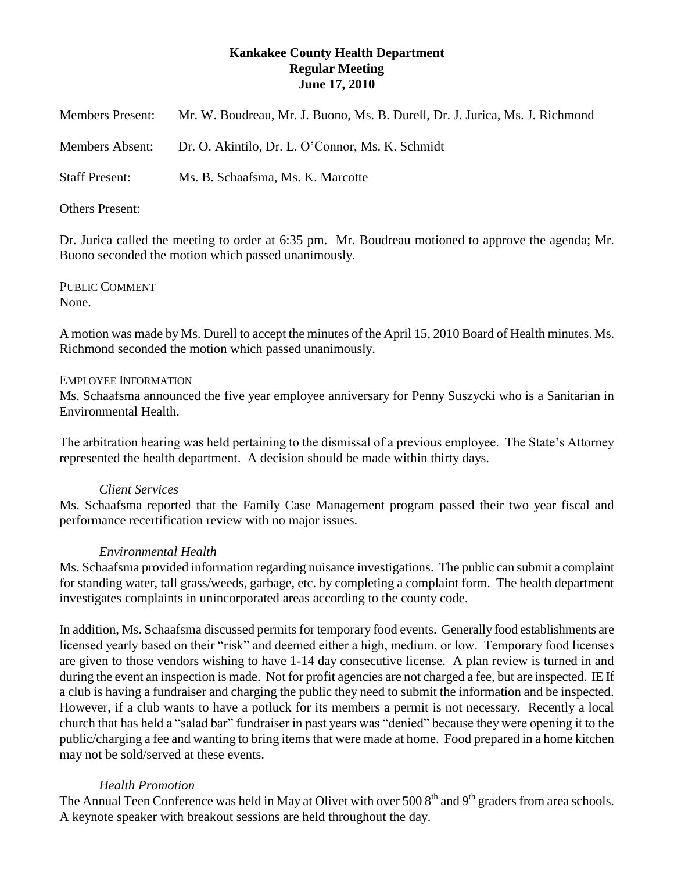# **Kankakee County Health Department Regular Meeting June 17, 2010**

| <b>Members Present:</b> | Mr. W. Boudreau, Mr. J. Buono, Ms. B. Durell, Dr. J. Jurica, Ms. J. Richmond |
|-------------------------|------------------------------------------------------------------------------|
| Members Absent:         | Dr. O. Akintilo, Dr. L. O'Connor, Ms. K. Schmidt                             |
| <b>Staff Present:</b>   | Ms. B. Schaafsma, Ms. K. Marcotte                                            |

# Others Present:

Dr. Jurica called the meeting to order at 6:35 pm. Mr. Boudreau motioned to approve the agenda; Mr. Buono seconded the motion which passed unanimously.

PUBLIC COMMENT None.

A motion was made by Ms. Durell to accept the minutes of the April 15, 2010 Board of Health minutes. Ms. Richmond seconded the motion which passed unanimously.

### EMPLOYEE INFORMATION

Ms. Schaafsma announced the five year employee anniversary for Penny Suszycki who is a Sanitarian in Environmental Health.

The arbitration hearing was held pertaining to the dismissal of a previous employee. The State's Attorney represented the health department. A decision should be made within thirty days.

#### *Client Services*

Ms. Schaafsma reported that the Family Case Management program passed their two year fiscal and performance recertification review with no major issues.

#### *Environmental Health*

Ms. Schaafsma provided information regarding nuisance investigations. The public can submit a complaint for standing water, tall grass/weeds, garbage, etc. by completing a complaint form. The health department investigates complaints in unincorporated areas according to the county code.

In addition, Ms. Schaafsma discussed permits for temporary food events. Generally food establishments are licensed yearly based on their "risk" and deemed either a high, medium, or low. Temporary food licenses are given to those vendors wishing to have 1-14 day consecutive license. A plan review is turned in and during the event an inspection is made. Not for profit agencies are not charged a fee, but are inspected. IE If a club is having a fundraiser and charging the public they need to submit the information and be inspected. However, if a club wants to have a potluck for its members a permit is not necessary. Recently a local church that has held a "salad bar" fundraiser in past years was "denied" because they were opening it to the public/charging a fee and wanting to bring items that were made at home. Food prepared in a home kitchen may not be sold/served at these events.

# *Health Promotion*

The Annual Teen Conference was held in May at Olivet with over  $5008<sup>th</sup>$  and 9<sup>th</sup> graders from area schools. A keynote speaker with breakout sessions are held throughout the day.